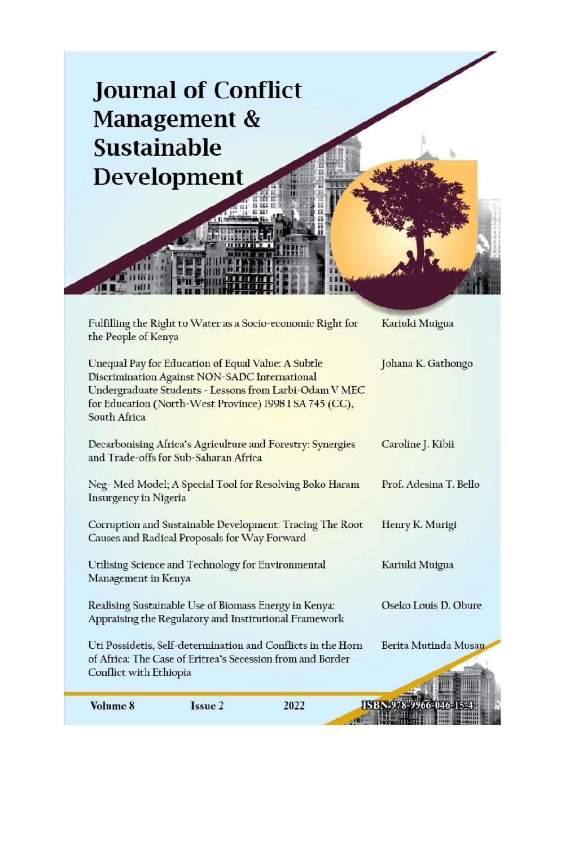| <b>Sustainable</b>     | <b>Journal of Conflict</b><br>Management &<br>Development                                                                                                      |                                                              |                        |
|------------------------|----------------------------------------------------------------------------------------------------------------------------------------------------------------|--------------------------------------------------------------|------------------------|
| the People of Kenya    |                                                                                                                                                                | Fulfilling the Right to Water as a Socio-economic Right for  | Kariuki Muigua         |
| South Africa           | Unequal Pay for Education of Equal Value: A Subtle<br>Discrimination Against NON-SADC International<br>for Education (North-West Province) 1998 1 SA 745 (CC), | Undergraduate Students - Lessons from Larbi-Odam V MEC       | Johana K. Gathongo     |
|                        | Decarbonising Africa's Agriculture and Forestry: Synergies<br>and Trade-offs for Sub-Saharan Africa                                                            |                                                              | Caroline J. Kibii      |
| Insurgency in Nigeria  |                                                                                                                                                                | Neg-Med Model; A Special Tool for Resolving Boko Haram       | Prof. Adesina T. Bello |
|                        | Causes and Radical Proposals for Way Forward                                                                                                                   | Corruption and Sustainable Development: Tracing The Root     | Henry K. Murigi        |
| Management in Kenya    | Utilising Science and Technology for Environmental                                                                                                             |                                                              | Kariuki Muigua         |
|                        | Realising Sustainable Use of Biomass Energy in Kenya:<br>Appraising the Regulatory and Institutional Framework                                                 |                                                              | Oseko Louis D. Obure   |
| Conflict with Ethiopia | of Africa: The Case of Eritrea's Secession from and Border                                                                                                     | Uti Possidetis, Self-determination and Conflicts in the Horn | Berita Mutinda Musau   |
| Volume 8               | Issue 2                                                                                                                                                        | 2022                                                         | ISBN 978-9966-046-15-4 |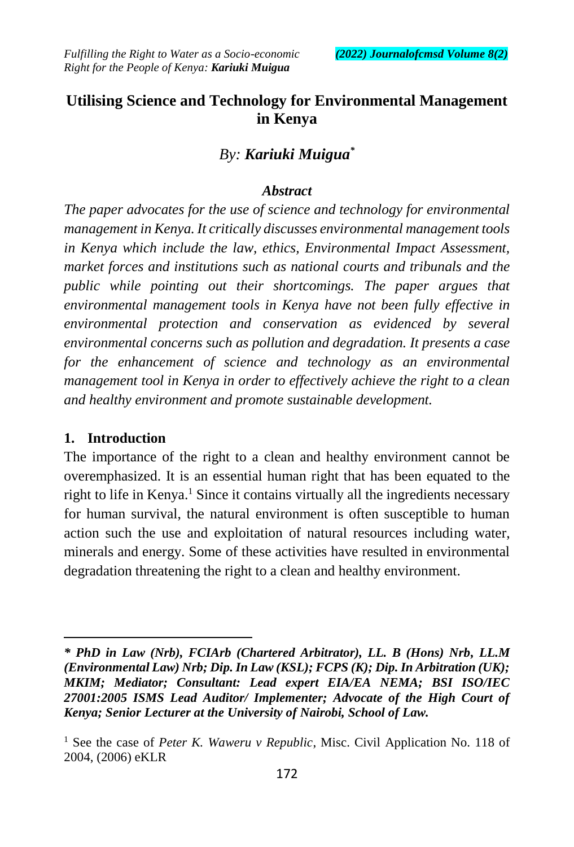# **Utilising Science and Technology for Environmental Management in Kenya**

# *By: Kariuki Muigua\**

### *Abstract*

*The paper advocates for the use of science and technology for environmental management in Kenya. It critically discusses environmental management tools in Kenya which include the law, ethics, Environmental Impact Assessment, market forces and institutions such as national courts and tribunals and the public while pointing out their shortcomings. The paper argues that environmental management tools in Kenya have not been fully effective in environmental protection and conservation as evidenced by several environmental concerns such as pollution and degradation. It presents a case for the enhancement of science and technology as an environmental management tool in Kenya in order to effectively achieve the right to a clean and healthy environment and promote sustainable development.*

### **1. Introduction**

 $\overline{a}$ 

The importance of the right to a clean and healthy environment cannot be overemphasized. It is an essential human right that has been equated to the right to life in Kenya.<sup>1</sup> Since it contains virtually all the ingredients necessary for human survival, the natural environment is often susceptible to human action such the use and exploitation of natural resources including water, minerals and energy. Some of these activities have resulted in environmental degradation threatening the right to a clean and healthy environment.

*<sup>\*</sup> PhD in Law (Nrb), FCIArb (Chartered Arbitrator), LL. B (Hons) Nrb, LL.M (Environmental Law) Nrb; Dip. In Law (KSL); FCPS (K); Dip. In Arbitration (UK); MKIM; Mediator; Consultant: Lead expert EIA/EA NEMA; BSI ISO/IEC 27001:2005 ISMS Lead Auditor/ Implementer; Advocate of the High Court of Kenya; Senior Lecturer at the University of Nairobi, School of Law.*

<sup>1</sup> See the case of *Peter K. Waweru v Republic*, Misc. Civil Application No. 118 of 2004, (2006) eKLR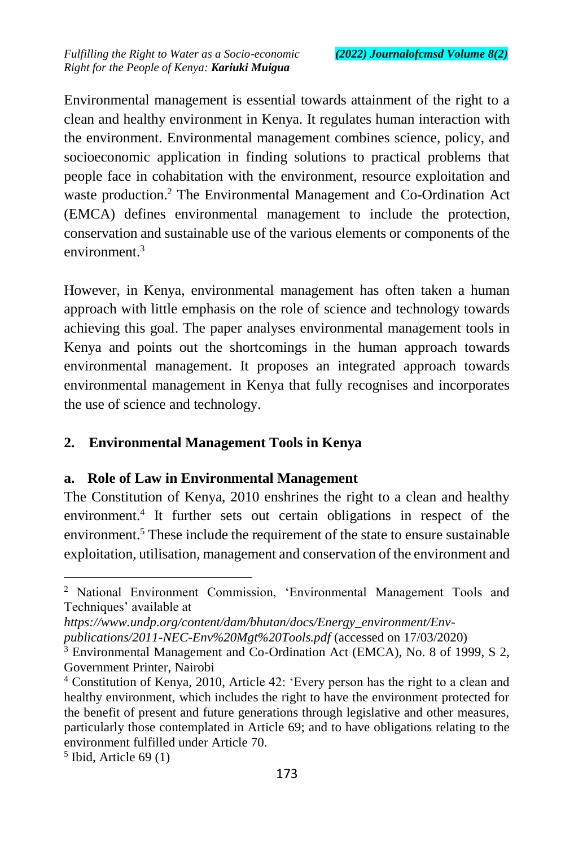Environmental management is essential towards attainment of the right to a clean and healthy environment in Kenya. It regulates human interaction with the environment. Environmental management combines science, policy, and socioeconomic application in finding solutions to practical problems that people face in cohabitation with the environment, resource exploitation and waste production.<sup>2</sup> The Environmental Management and Co-Ordination Act (EMCA) defines environmental management to include the protection, conservation and sustainable use of the various elements or components of the environment.<sup>3</sup>

However, in Kenya, environmental management has often taken a human approach with little emphasis on the role of science and technology towards achieving this goal. The paper analyses environmental management tools in Kenya and points out the shortcomings in the human approach towards environmental management. It proposes an integrated approach towards environmental management in Kenya that fully recognises and incorporates the use of science and technology.

### **2. Environmental Management Tools in Kenya**

#### **a. Role of Law in Environmental Management**

The Constitution of Kenya, 2010 enshrines the right to a clean and healthy environment.<sup>4</sup> It further sets out certain obligations in respect of the environment.<sup>5</sup> These include the requirement of the state to ensure sustainable exploitation, utilisation, management and conservation of the environment and

*https://www.undp.org/content/dam/bhutan/docs/Energy\_environment/Env-*

*publications/2011-NEC-Env%20Mgt%20Tools.pdf* (accessed on 17/03/2020)

<sup>2</sup> National Environment Commission, 'Environmental Management Tools and Techniques' available at

<sup>3</sup> Environmental Management and Co-Ordination Act (EMCA), No. 8 of 1999, S 2, Government Printer, Nairobi

<sup>4</sup> Constitution of Kenya, 2010, Article 42: 'Every person has the right to a clean and healthy environment, which includes the right to have the environment protected for the benefit of present and future generations through legislative and other measures, particularly those contemplated in Article 69; and to have obligations relating to the environment fulfilled under Article 70.

<sup>5</sup> Ibid, Article 69 (1)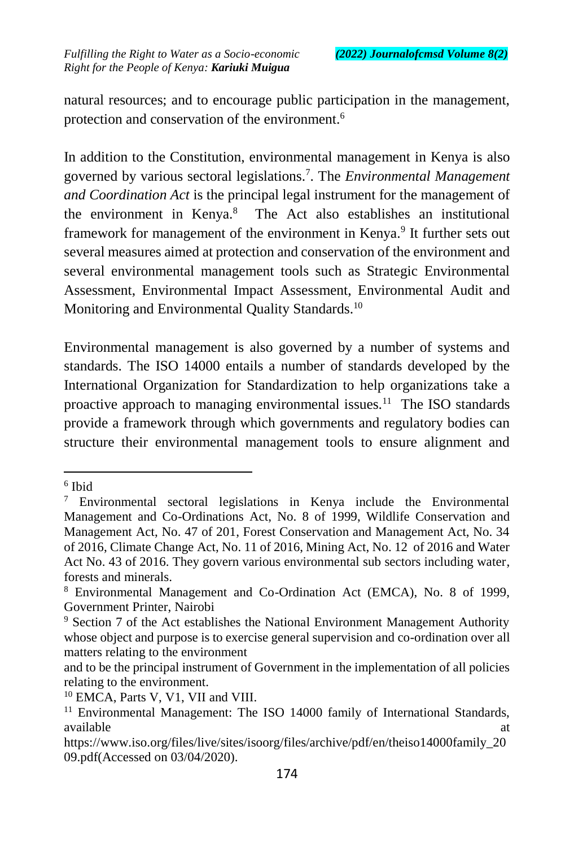natural resources; and to encourage public participation in the management, protection and conservation of the environment.<sup>6</sup>

In addition to the Constitution, environmental management in Kenya is also governed by various sectoral legislations.<sup>7</sup> . The *Environmental Management and Coordination Act* is the principal legal instrument for the management of the environment in Kenya.<sup>8</sup> The Act also establishes an institutional framework for management of the environment in Kenya.<sup>9</sup> It further sets out several measures aimed at protection and conservation of the environment and several environmental management tools such as Strategic Environmental Assessment, Environmental Impact Assessment, Environmental Audit and Monitoring and Environmental Quality Standards.<sup>10</sup>

Environmental management is also governed by a number of systems and standards. The ISO 14000 entails a number of standards developed by the International Organization for Standardization to help organizations take a proactive approach to managing environmental issues.<sup>11</sup> The ISO standards provide a framework through which governments and regulatory bodies can structure their environmental management tools to ensure alignment and

<sup>6</sup> Ibid

<sup>7</sup> Environmental sectoral legislations in Kenya include the Environmental Management and Co-Ordinations Act, No. 8 of 1999, Wildlife Conservation and Management Act, No. 47 of 201, Forest Conservation and Management Act, No. 34 of 2016, Climate Change Act, No. 11 of 2016, Mining Act, No. 12 of 2016 and Water Act No. 43 of 2016. They govern various environmental sub sectors including water, forests and minerals.

<sup>8</sup> Environmental Management and Co-Ordination Act (EMCA), No. 8 of 1999, Government Printer, Nairobi

<sup>9</sup> Section 7 of the Act establishes the National Environment Management Authority whose object and purpose is to exercise general supervision and co-ordination over all matters relating to the environment

and to be the principal instrument of Government in the implementation of all policies relating to the environment.

<sup>10</sup> EMCA, Parts V, V1, VII and VIII.

<sup>&</sup>lt;sup>11</sup> Environmental Management: The ISO 14000 family of International Standards, available at a structure of  $\alpha$  at a structure of  $\alpha$  at a structure of  $\alpha$  at a structure of  $\alpha$ 

https://www.iso.org/files/live/sites/isoorg/files/archive/pdf/en/theiso14000family\_20 09.pdf(Accessed on 03/04/2020).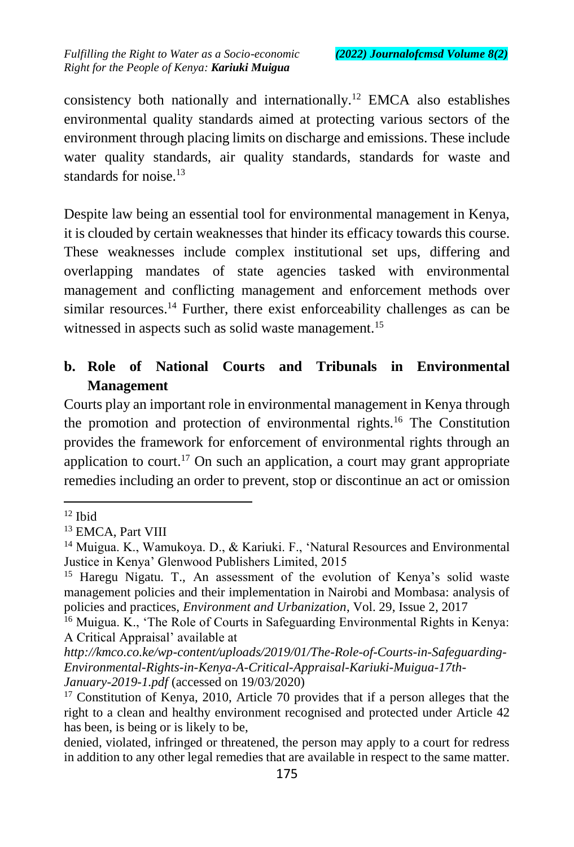consistency both nationally and internationally.<sup>12</sup> EMCA also establishes environmental quality standards aimed at protecting various sectors of the environment through placing limits on discharge and emissions. These include water quality standards, air quality standards, standards for waste and standards for noise.<sup>13</sup>

Despite law being an essential tool for environmental management in Kenya, it is clouded by certain weaknesses that hinder its efficacy towards this course. These weaknesses include complex institutional set ups, differing and overlapping mandates of state agencies tasked with environmental management and conflicting management and enforcement methods over similar resources.<sup>14</sup> Further, there exist enforceability challenges as can be witnessed in aspects such as solid waste management.<sup>15</sup>

## **b. Role of National Courts and Tribunals in Environmental Management**

Courts play an important role in environmental management in Kenya through the promotion and protection of environmental rights.<sup>16</sup> The Constitution provides the framework for enforcement of environmental rights through an application to court.<sup>17</sup> On such an application, a court may grant appropriate remedies including an order to prevent, stop or discontinue an act or omission

 $12$  Ibid

<sup>&</sup>lt;sup>13</sup> EMCA, Part VIII

<sup>&</sup>lt;sup>14</sup> Muigua. K., Wamukoya. D., & Kariuki. F., 'Natural Resources and Environmental Justice in Kenya' Glenwood Publishers Limited, 2015

<sup>15</sup> Haregu Nigatu. T., An assessment of the evolution of Kenya's solid waste management policies and their implementation in Nairobi and Mombasa: analysis of policies and practices, *Environment and Urbanization*, Vol. 29, Issue 2, 2017

<sup>16</sup> Muigua. K., 'The Role of Courts in Safeguarding Environmental Rights in Kenya: A Critical Appraisal' available at

*http://kmco.co.ke/wp-content/uploads/2019/01/The-Role-of-Courts-in-Safeguarding-Environmental-Rights-in-Kenya-A-Critical-Appraisal-Kariuki-Muigua-17th-January-2019-1.pdf* (accessed on 19/03/2020)

<sup>&</sup>lt;sup>17</sup> Constitution of Kenya, 2010, Article 70 provides that if a person alleges that the right to a clean and healthy environment recognised and protected under Article 42 has been, is being or is likely to be,

denied, violated, infringed or threatened, the person may apply to a court for redress in addition to any other legal remedies that are available in respect to the same matter.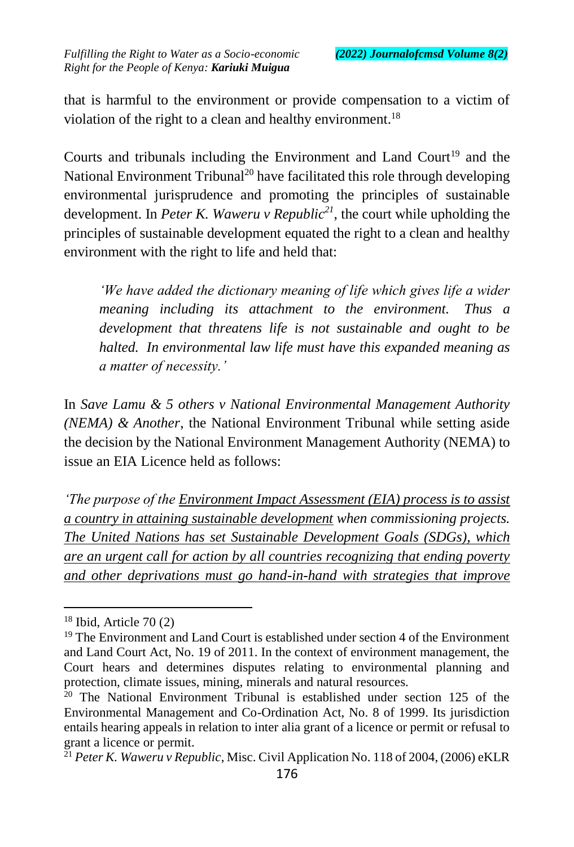that is harmful to the environment or provide compensation to a victim of violation of the right to a clean and healthy environment.<sup>18</sup>

Courts and tribunals including the Environment and Land Court<sup>19</sup> and the National Environment Tribunal<sup>20</sup> have facilitated this role through developing environmental jurisprudence and promoting the principles of sustainable development. In *Peter K. Waweru v Republic<sup>21</sup>*, the court while upholding the principles of sustainable development equated the right to a clean and healthy environment with the right to life and held that:

*'We have added the dictionary meaning of life which gives life a wider meaning including its attachment to the environment. Thus a development that threatens life is not sustainable and ought to be halted. In environmental law life must have this expanded meaning as a matter of necessity.'*

In *Save Lamu & 5 others v National Environmental Management Authority (NEMA) & Another*, the National Environment Tribunal while setting aside the decision by the National Environment Management Authority (NEMA) to issue an EIA Licence held as follows:

*'The purpose of the Environment Impact Assessment (EIA) process is to assist a country in attaining sustainable development when commissioning projects. The United Nations has set Sustainable Development Goals (SDGs), which are an urgent call for action by all countries recognizing that ending poverty and other deprivations must go hand-in-hand with strategies that improve* 

 $18$  Ibid, Article 70 $(2)$ 

<sup>&</sup>lt;sup>19</sup> The Environment and Land Court is established under section 4 of the Environment and Land Court Act, No. 19 of 2011. In the context of environment management, the Court hears and determines disputes relating to environmental planning and protection, climate issues, mining, minerals and natural resources.

 $20$  The National Environment Tribunal is established under section 125 of the Environmental Management and Co-Ordination Act, No. 8 of 1999. Its jurisdiction entails hearing appeals in relation to inter alia grant of a licence or permit or refusal to grant a licence or permit.

<sup>&</sup>lt;sup>21</sup> Peter K. Waweru v Republic, Misc. Civil Application No. 118 of 2004, (2006) eKLR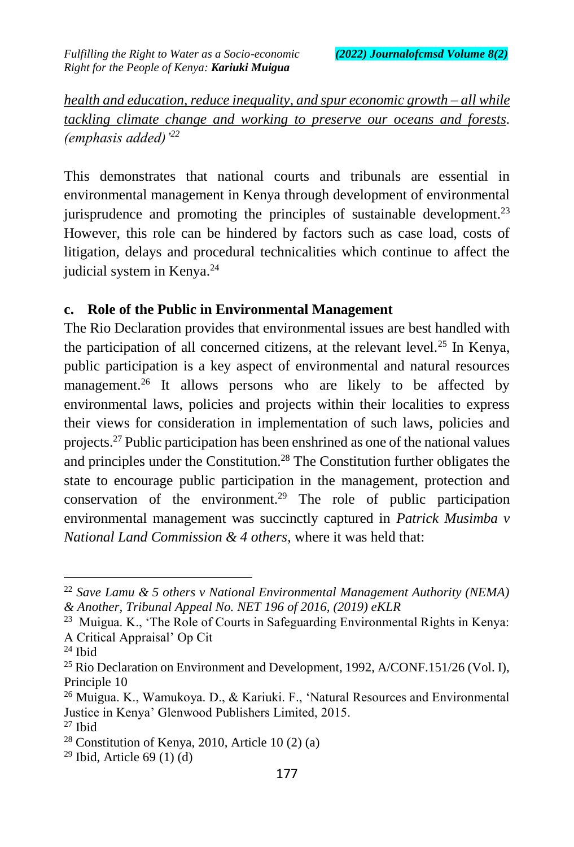*health and education, reduce inequality, and spur economic growth – all while tackling climate change and working to preserve our oceans and forests. (emphasis added)'<sup>22</sup>*

This demonstrates that national courts and tribunals are essential in environmental management in Kenya through development of environmental jurisprudence and promoting the principles of sustainable development.<sup>23</sup> However, this role can be hindered by factors such as case load, costs of litigation, delays and procedural technicalities which continue to affect the judicial system in Kenya.<sup>24</sup>

### **c. Role of the Public in Environmental Management**

The Rio Declaration provides that environmental issues are best handled with the participation of all concerned citizens, at the relevant level.<sup>25</sup> In Kenya, public participation is a key aspect of environmental and natural resources management.<sup>26</sup> It allows persons who are likely to be affected by environmental laws, policies and projects within their localities to express their views for consideration in implementation of such laws, policies and projects.<sup>27</sup> Public participation has been enshrined as one of the national values and principles under the Constitution.<sup>28</sup> The Constitution further obligates the state to encourage public participation in the management, protection and conservation of the environment.<sup>29</sup> The role of public participation environmental management was succinctly captured in *Patrick Musimba v National Land Commission & 4 others*, where it was held that:

<sup>22</sup> *Save Lamu & 5 others v National Environmental Management Authority (NEMA) & Another, Tribunal Appeal No. NET 196 of 2016, (2019) eKLR*

<sup>&</sup>lt;sup>23</sup> Muigua. K., 'The Role of Courts in Safeguarding Environmental Rights in Kenya: A Critical Appraisal' Op Cit

<sup>24</sup> Ibid

<sup>&</sup>lt;sup>25</sup> Rio Declaration on Environment and Development, 1992, A/CONF.151/26 (Vol. I), Principle 10

<sup>26</sup> Muigua. K., Wamukoya. D., & Kariuki. F., 'Natural Resources and Environmental Justice in Kenya' Glenwood Publishers Limited, 2015.  $27$  Ibid

 $28$  Constitution of Kenya, 2010, Article 10 (2) (a)

 $29$  Ibid, Article 69 (1) (d)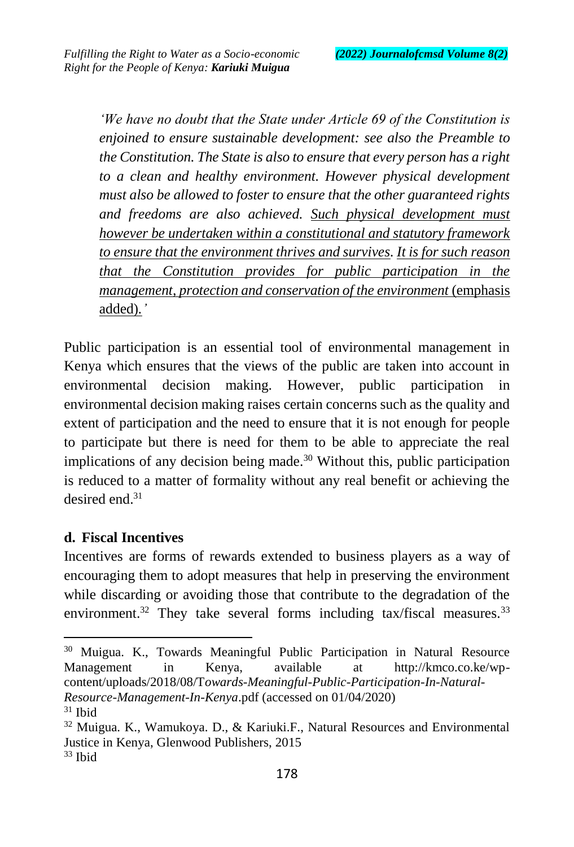*'We have no doubt that the State under Article 69 of the Constitution is enjoined to ensure sustainable development: see also the Preamble to the Constitution. The State is also to ensure that every person has a right to a clean and healthy environment. However physical development must also be allowed to foster to ensure that the other guaranteed rights and freedoms are also achieved. Such physical development must however be undertaken within a constitutional and statutory framework to ensure that the environment thrives and survives. It is for such reason that the Constitution provides for public participation in the management, protection and conservation of the environment* (emphasis added)*.'*

Public participation is an essential tool of environmental management in Kenya which ensures that the views of the public are taken into account in environmental decision making. However, public participation in environmental decision making raises certain concerns such as the quality and extent of participation and the need to ensure that it is not enough for people to participate but there is need for them to be able to appreciate the real implications of any decision being made.<sup>30</sup> Without this, public participation is reduced to a matter of formality without any real benefit or achieving the desired end.<sup>31</sup>

#### **d. Fiscal Incentives**

Incentives are forms of rewards extended to business players as a way of encouraging them to adopt measures that help in preserving the environment while discarding or avoiding those that contribute to the degradation of the environment.<sup>32</sup> They take several forms including tax/fiscal measures.<sup>33</sup>

<sup>30</sup> Muigua. K., Towards Meaningful Public Participation in Natural Resource Management in Kenya, available at http://kmco.co.ke/wpcontent/uploads/2018/08/T*owards-Meaningful-Public-Participation-In-Natural-Resource-Management-In-Kenya*.pdf (accessed on 01/04/2020)

 $31$  Ibid

 $32$  Muigua. K., Wamukoya. D., & Kariuki.F., Natural Resources and Environmental Justice in Kenya, Glenwood Publishers, 2015

 $33$  Ibid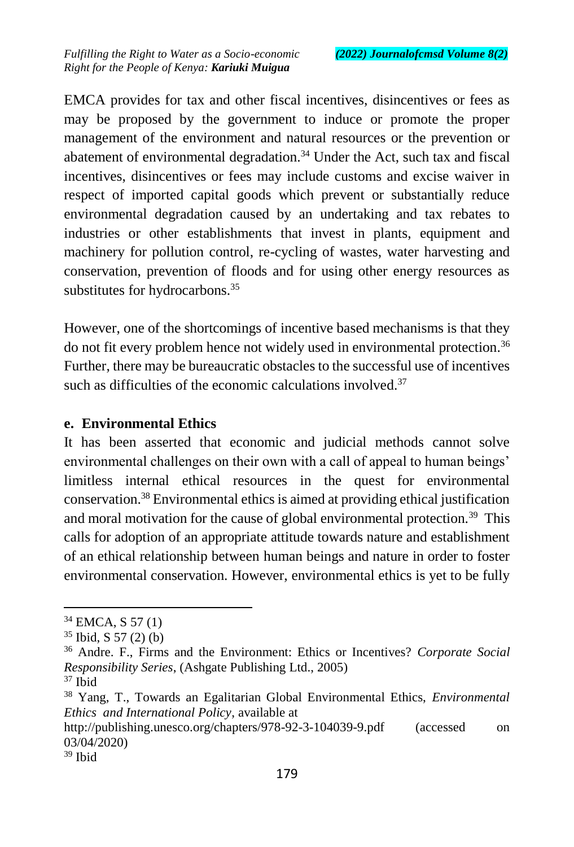EMCA provides for tax and other fiscal incentives, disincentives or fees as may be proposed by the government to induce or promote the proper management of the environment and natural resources or the prevention or abatement of environmental degradation.<sup>34</sup> Under the Act, such tax and fiscal incentives, disincentives or fees may include customs and excise waiver in respect of imported capital goods which prevent or substantially reduce environmental degradation caused by an undertaking and tax rebates to industries or other establishments that invest in plants, equipment and machinery for pollution control, re-cycling of wastes, water harvesting and conservation, prevention of floods and for using other energy resources as substitutes for hydrocarbons.<sup>35</sup>

However, one of the shortcomings of incentive based mechanisms is that they do not fit every problem hence not widely used in environmental protection.<sup>36</sup> Further, there may be bureaucratic obstacles to the successful use of incentives such as difficulties of the economic calculations involved. $37$ 

#### **e. Environmental Ethics**

It has been asserted that economic and judicial methods cannot solve environmental challenges on their own with a call of appeal to human beings' limitless internal ethical resources in the quest for environmental conservation.<sup>38</sup> Environmental ethics is aimed at providing ethical justification and moral motivation for the cause of global environmental protection.<sup>39</sup> This calls for adoption of an appropriate attitude towards nature and establishment of an ethical relationship between human beings and nature in order to foster environmental conservation. However, environmental ethics is yet to be fully

 $37$  Ibid

 $\overline{a}$ 

http://publishing.unesco.org/chapters/978-92-3-104039-9.pdf (accessed on 03/04/2020)

<sup>&</sup>lt;sup>34</sup> EMCA, S 57 (1)

 $35$  Ibid, S 57 (2) (b)

<sup>36</sup> Andre. F., Firms and the Environment: Ethics or Incentives? *Corporate Social Responsibility Series*, (Ashgate Publishing Ltd., 2005)

<sup>38</sup> Yang, T., Towards an Egalitarian Global Environmental Ethics, *Environmental Ethics and International Policy*, available at

 $39$  Ibid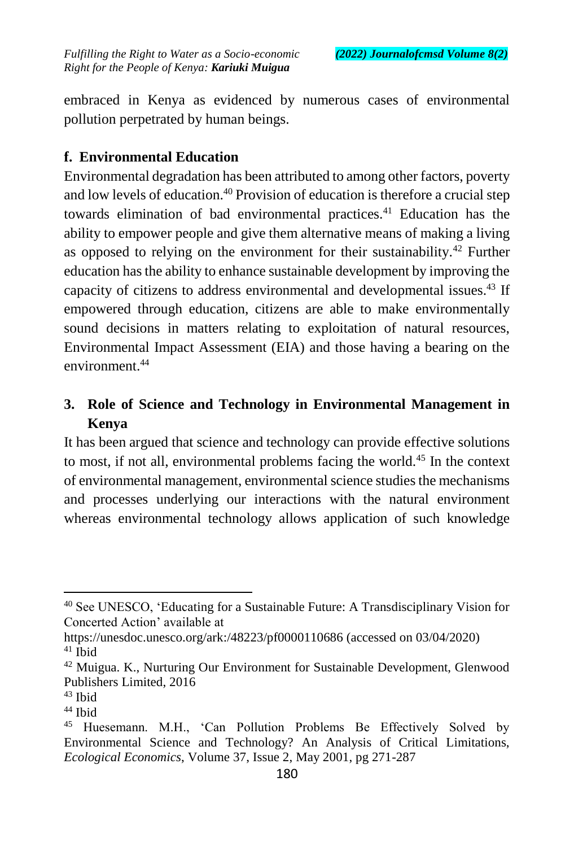embraced in Kenya as evidenced by numerous cases of environmental pollution perpetrated by human beings.

## **f. Environmental Education**

Environmental degradation has been attributed to among other factors, poverty and low levels of education.<sup>40</sup> Provision of education is therefore a crucial step towards elimination of bad environmental practices.<sup>41</sup> Education has the ability to empower people and give them alternative means of making a living as opposed to relying on the environment for their sustainability.<sup>42</sup> Further education has the ability to enhance sustainable development by improving the capacity of citizens to address environmental and developmental issues.<sup>43</sup> If empowered through education, citizens are able to make environmentally sound decisions in matters relating to exploitation of natural resources, Environmental Impact Assessment (EIA) and those having a bearing on the environment<sup>44</sup>

# **3. Role of Science and Technology in Environmental Management in Kenya**

It has been argued that science and technology can provide effective solutions to most, if not all, environmental problems facing the world.<sup>45</sup> In the context of environmental management, environmental science studies the mechanisms and processes underlying our interactions with the natural environment whereas environmental technology allows application of such knowledge

<sup>40</sup> See UNESCO, 'Educating for a Sustainable Future: A Transdisciplinary Vision for Concerted Action' available at

https://unesdoc.unesco.org/ark:/48223/pf0000110686 (accessed on 03/04/2020) <sup>41</sup> Ibid

<sup>42</sup> Muigua. K., Nurturing Our Environment for Sustainable Development, Glenwood Publishers Limited, 2016

<sup>43</sup> Ibid

<sup>&</sup>lt;sup>44</sup> Ibid

<sup>45</sup> Huesemann. M.H., 'Can Pollution Problems Be Effectively Solved by Environmental Science and Technology? An Analysis of Critical Limitations, *Ecological Economics*, Volume 37, Issue 2, May 2001, pg 271-287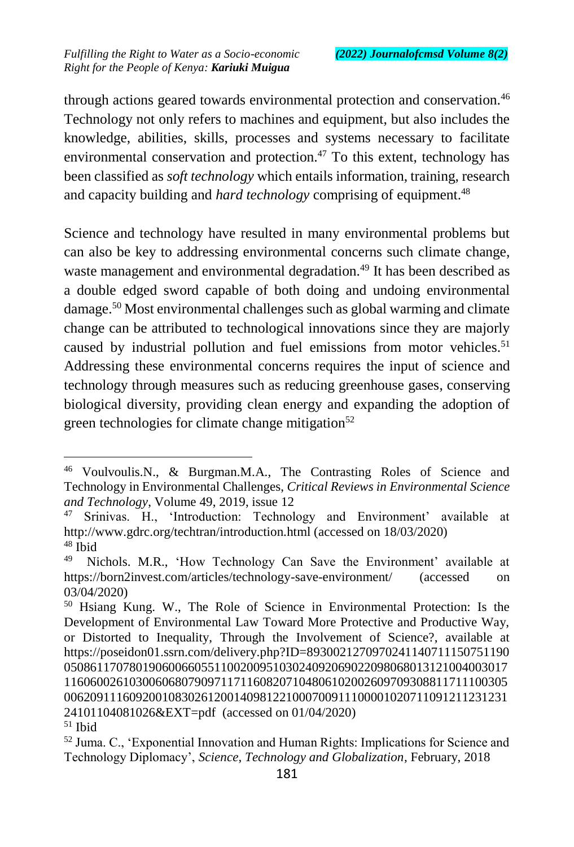$\overline{a}$ 

through actions geared towards environmental protection and conservation.<sup>46</sup> Technology not only refers to machines and equipment, but also includes the knowledge, abilities, skills, processes and systems necessary to facilitate environmental conservation and protection. $47$  To this extent, technology has been classified as *soft technology* which entails information, training, research and capacity building and *hard technology* comprising of equipment.<sup>48</sup>

Science and technology have resulted in many environmental problems but can also be key to addressing environmental concerns such climate change, waste management and environmental degradation.<sup>49</sup> It has been described as a double edged sword capable of both doing and undoing environmental damage.<sup>50</sup> Most environmental challenges such as global warming and climate change can be attributed to technological innovations since they are majorly caused by industrial pollution and fuel emissions from motor vehicles.<sup>51</sup> Addressing these environmental concerns requires the input of science and technology through measures such as reducing greenhouse gases, conserving biological diversity, providing clean energy and expanding the adoption of green technologies for climate change mitigation $52$ 

<sup>46</sup> Voulvoulis.N., & Burgman.M.A., The Contrasting Roles of Science and Technology in Environmental Challenges, *Critical Reviews in Environmental Science and Technology*, Volume 49, 2019, issue 12

<sup>47</sup> Srinivas. H., 'Introduction: Technology and Environment' available at http://www.gdrc.org/techtran/introduction.html (accessed on 18/03/2020) <sup>48</sup> Ibid

<sup>49</sup> Nichols. M.R., 'How Technology Can Save the Environment' available at https://born2invest.com/articles/technology-save-environment/ (accessed on 03/04/2020)

<sup>50</sup> Hsiang Kung. W., The Role of Science in Environmental Protection: Is the Development of Environmental Law Toward More Protective and Productive Way, or Distorted to Inequality, Through the Involvement of Science?, available at https://poseidon01.ssrn.com/delivery.php?ID=8930021270970241140711150751190 05086117078019060066055110020095103024092069022098068013121004003017 11606002610300606807909711711608207104806102002609709308811711100305 00620911160920010830261200140981221000700911100001020711091211231231 24101104081026&EXT=pdf (accessed on 01/04/2020)  $51$  Ibid

<sup>52</sup> Juma. C., 'Exponential Innovation and Human Rights: Implications for Science and Technology Diplomacy', *Science, Technology and Globalization*, February, 2018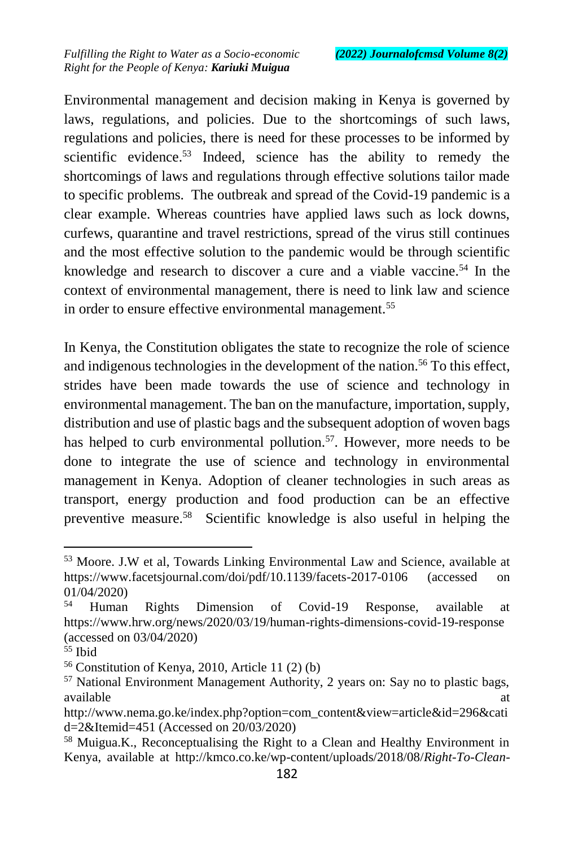Environmental management and decision making in Kenya is governed by laws, regulations, and policies. Due to the shortcomings of such laws, regulations and policies, there is need for these processes to be informed by scientific evidence.<sup>53</sup> Indeed, science has the ability to remedy the shortcomings of laws and regulations through effective solutions tailor made to specific problems. The outbreak and spread of the Covid-19 pandemic is a clear example. Whereas countries have applied laws such as lock downs, curfews, quarantine and travel restrictions, spread of the virus still continues and the most effective solution to the pandemic would be through scientific knowledge and research to discover a cure and a viable vaccine.<sup>54</sup> In the context of environmental management, there is need to link law and science in order to ensure effective environmental management.<sup>55</sup>

In Kenya, the Constitution obligates the state to recognize the role of science and indigenous technologies in the development of the nation.<sup>56</sup> To this effect, strides have been made towards the use of science and technology in environmental management. The ban on the manufacture, importation, supply, distribution and use of plastic bags and the subsequent adoption of woven bags has helped to curb environmental pollution.<sup>57</sup>. However, more needs to be done to integrate the use of science and technology in environmental management in Kenya. Adoption of cleaner technologies in such areas as transport, energy production and food production can be an effective preventive measure.<sup>58</sup> Scientific knowledge is also useful in helping the

<sup>53</sup> Moore. J.W et al, Towards Linking Environmental Law and Science, available at https://www.facetsjournal.com/doi/pdf/10.1139/facets-2017-0106 (accessed on 01/04/2020)

<sup>54</sup> Human Rights Dimension of Covid-19 Response, available at https://www.hrw.org/news/2020/03/19/human-rights-dimensions-covid-19-response (accessed on 03/04/2020)

<sup>55</sup> Ibid

<sup>56</sup> Constitution of Kenya, 2010, Article 11 (2) (b)

<sup>57</sup> National Environment Management Authority, 2 years on: Say no to plastic bags, available at a state of  $\alpha$  at a state of  $\alpha$  at a state of  $\alpha$  at a state of  $\alpha$  at a state of  $\alpha$  at a state of  $\alpha$  at a state of  $\alpha$  at a state of  $\alpha$  at a state of  $\alpha$  at a state of  $\alpha$  at a state of  $\alpha$  at

http://www.nema.go.ke/index.php?option=com\_content&view=article&id=296&cati d=2&Itemid=451 (Accessed on 20/03/2020)

<sup>58</sup> Muigua.K., Reconceptualising the Right to a Clean and Healthy Environment in Kenya, available at http://kmco.co.ke/wp-content/uploads/2018/08/*Right-To-Clean-*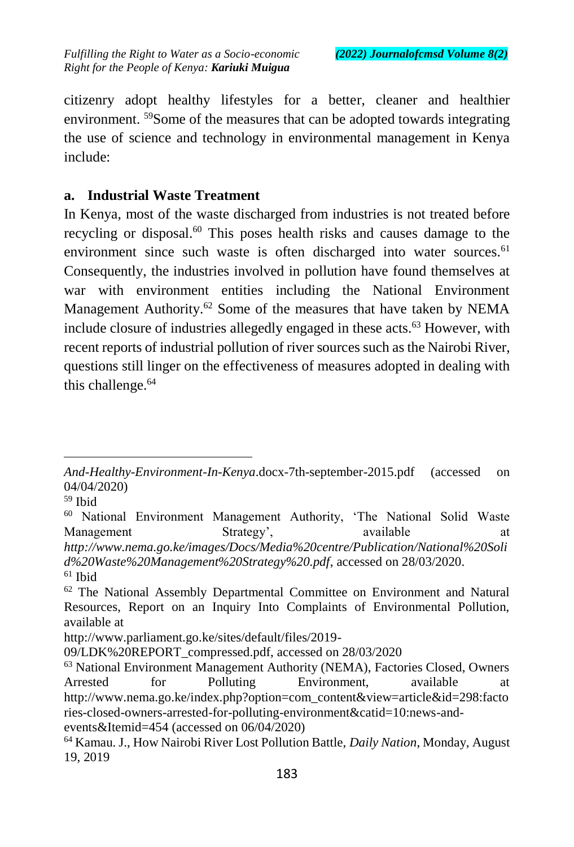citizenry adopt healthy lifestyles for a better, cleaner and healthier environment. <sup>59</sup>Some of the measures that can be adopted towards integrating the use of science and technology in environmental management in Kenya include:

### **a. Industrial Waste Treatment**

In Kenya, most of the waste discharged from industries is not treated before recycling or disposal.<sup>60</sup> This poses health risks and causes damage to the environment since such waste is often discharged into water sources.<sup>61</sup> Consequently, the industries involved in pollution have found themselves at war with environment entities including the National Environment Management Authority.<sup>62</sup> Some of the measures that have taken by NEMA include closure of industries allegedly engaged in these acts.<sup>63</sup> However, with recent reports of industrial pollution of river sources such as the Nairobi River, questions still linger on the effectiveness of measures adopted in dealing with this challenge.<sup>64</sup>

*And-Healthy-Environment-In-Kenya*.docx-7th-september-2015.pdf (accessed on 04/04/2020)

<sup>59</sup> Ibid

<sup>60</sup> National Environment Management Authority, 'The National Solid Waste Management Strategy', available at a *http://www.nema.go.ke/images/Docs/Media%20centre/Publication/National%20Soli d%20Waste%20Management%20Strategy%20.pdf*, accessed on 28/03/2020.

<sup>61</sup> Ibid

<sup>&</sup>lt;sup>62</sup> The National Assembly Departmental Committee on Environment and Natural Resources, Report on an Inquiry Into Complaints of Environmental Pollution, available at

http://www.parliament.go.ke/sites/default/files/2019-

<sup>09/</sup>LDK%20REPORT\_compressed.pdf, accessed on 28/03/2020

<sup>63</sup> National Environment Management Authority (NEMA), Factories Closed, Owners Arrested for Polluting Environment, available at http://www.nema.go.ke/index.php?option=com\_content&view=article&id=298:facto ries-closed-owners-arrested-for-polluting-environment&catid=10:news-andevents&Itemid=454 (accessed on 06/04/2020)

<sup>64</sup> Kamau. J., How Nairobi River Lost Pollution Battle, *Daily Nation*, Monday, August 19, 2019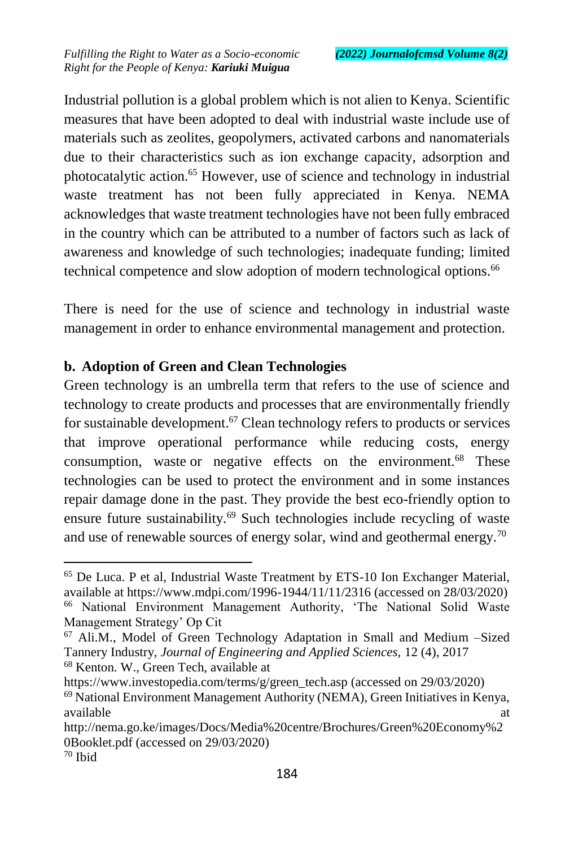Industrial pollution is a global problem which is not alien to Kenya. Scientific measures that have been adopted to deal with industrial waste include use of materials such as zeolites, geopolymers, activated carbons and nanomaterials due to their characteristics such as ion exchange capacity, adsorption and photocatalytic action.<sup>65</sup> However, use of science and technology in industrial waste treatment has not been fully appreciated in Kenya. NEMA acknowledges that waste treatment technologies have not been fully embraced in the country which can be attributed to a number of factors such as lack of awareness and knowledge of such technologies; inadequate funding; limited technical competence and slow adoption of modern technological options.<sup>66</sup>

There is need for the use of science and technology in industrial waste management in order to enhance environmental management and protection.

### **b. Adoption of Green and Clean Technologies**

Green technology is an umbrella term that refers to the use of science and technology to create products and processes that are environmentally friendly for sustainable development.<sup>67</sup> Clean technology refers to products or services that improve operational performance while reducing costs, energy consumption, waste or negative effects on the environment.<sup>68</sup> These technologies can be used to protect the environment and in some instances repair damage done in the past. They provide the best eco-friendly option to ensure future sustainability.<sup>69</sup> Such technologies include recycling of waste and use of renewable sources of energy solar, wind and geothermal energy.<sup>70</sup>

https://www.investopedia.com/terms/g/green\_tech.asp (accessed on 29/03/2020)

<sup>65</sup> De Luca. P et al, Industrial Waste Treatment by ETS-10 Ion Exchanger Material, available at https://www.mdpi.com/1996-1944/11/11/2316 (accessed on 28/03/2020)

<sup>66</sup> National Environment Management Authority, 'The National Solid Waste Management Strategy' Op Cit

<sup>67</sup> Ali.M., Model of Green Technology Adaptation in Small and Medium –Sized Tannery Industry, *Journal of Engineering and Applied Sciences,* 12 (4), 2017 <sup>68</sup> Kenton. W., Green Tech, available at

<sup>69</sup> National Environment Management Authority (NEMA), Green Initiatives in Kenya, available at a state of  $\alpha$  at a state of  $\alpha$  at a state of  $\alpha$  at a state of  $\alpha$  at a state of  $\alpha$  at a state of  $\alpha$  at a state of  $\alpha$  at a state of  $\alpha$  at a state of  $\alpha$  at a state of  $\alpha$  at a state of  $\alpha$  at

http://nema.go.ke/images/Docs/Media%20centre/Brochures/Green%20Economy%2 0Booklet.pdf (accessed on 29/03/2020)

 $70$  Ibid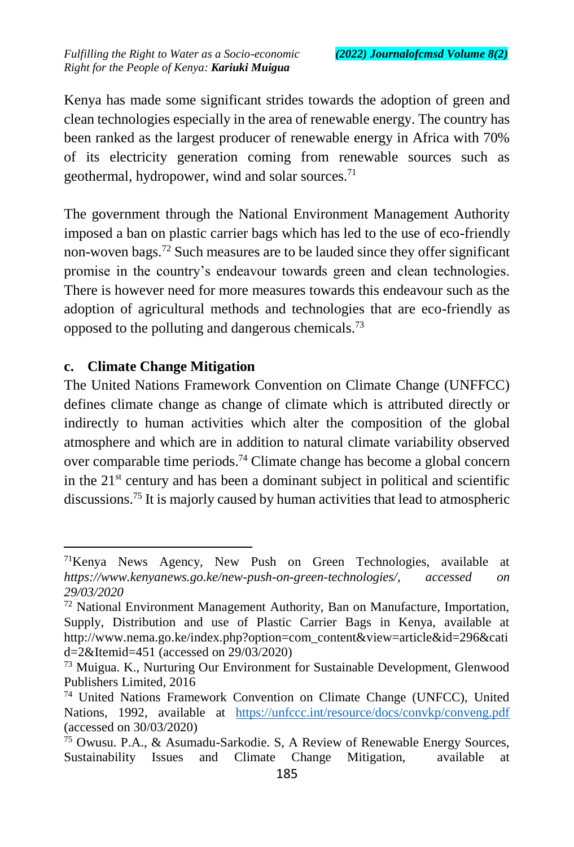Kenya has made some significant strides towards the adoption of green and clean technologies especially in the area of renewable energy. The country has been ranked as the largest producer of renewable energy in Africa with 70% of its electricity generation coming from renewable sources such as geothermal, hydropower, wind and solar sources. $71$ 

The government through the National Environment Management Authority imposed a ban on plastic carrier bags which has led to the use of eco-friendly non-woven bags.<sup>72</sup> Such measures are to be lauded since they offer significant promise in the country's endeavour towards green and clean technologies. There is however need for more measures towards this endeavour such as the adoption of agricultural methods and technologies that are eco-friendly as opposed to the polluting and dangerous chemicals.<sup>73</sup>

### **c. Climate Change Mitigation**

 $\overline{a}$ 

The United Nations Framework Convention on Climate Change (UNFFCC) defines climate change as change of climate which is attributed directly or indirectly to human activities which alter the composition of the global atmosphere and which are in addition to natural climate variability observed over comparable time periods.<sup>74</sup> Climate change has become a global concern in the  $21<sup>st</sup>$  century and has been a dominant subject in political and scientific discussions.<sup>75</sup> It is majorly caused by human activities that lead to atmospheric

<sup>&</sup>lt;sup>71</sup>Kenya News Agency, New Push on Green Technologies, available at *https://www.kenyanews.go.ke/new-push-on-green-technologies/, accessed on 29/03/2020*

 $72$  National Environment Management Authority, Ban on Manufacture, Importation, Supply, Distribution and use of Plastic Carrier Bags in Kenya, available at http://www.nema.go.ke/index.php?option=com\_content&view=article&id=296&cati d=2&Itemid=451 (accessed on 29/03/2020)

<sup>73</sup> Muigua. K., Nurturing Our Environment for Sustainable Development, Glenwood Publishers Limited, 2016

<sup>74</sup> United Nations Framework Convention on Climate Change (UNFCC), United Nations, 1992, available at <https://unfccc.int/resource/docs/convkp/conveng.pdf> (accessed on 30/03/2020)

<sup>75</sup> Owusu. P.A., & Asumadu-Sarkodie. S, A Review of Renewable Energy Sources, Sustainability Issues and Climate Change Mitigation, available at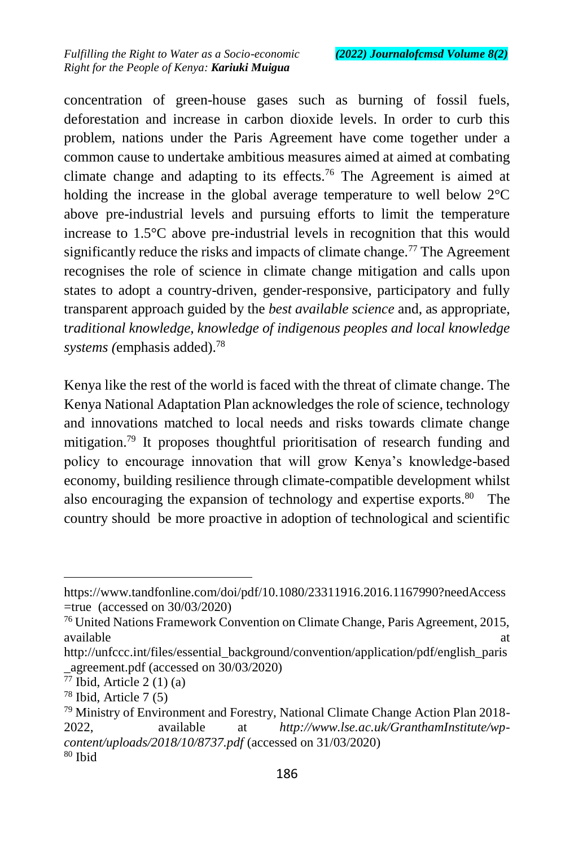concentration of green-house gases such as burning of fossil fuels, deforestation and increase in carbon dioxide levels. In order to curb this problem, nations under the Paris Agreement have come together under a common cause to undertake ambitious measures aimed at aimed at combating climate change and adapting to its effects.<sup>76</sup> The Agreement is aimed at holding the increase in the global average temperature to well below 2°C above pre-industrial levels and pursuing efforts to limit the temperature increase to 1.5°C above pre-industrial levels in recognition that this would significantly reduce the risks and impacts of climate change.<sup>77</sup> The Agreement recognises the role of science in climate change mitigation and calls upon states to adopt a country-driven, gender-responsive, participatory and fully transparent approach guided by the *best available science* and, as appropriate, t*raditional knowledge, knowledge of indigenous peoples and local knowledge systems (*emphasis added).<sup>78</sup>

Kenya like the rest of the world is faced with the threat of climate change. The Kenya National Adaptation Plan acknowledges the role of science, technology and innovations matched to local needs and risks towards climate change mitigation.<sup>79</sup> It proposes thoughtful prioritisation of research funding and policy to encourage innovation that will grow Kenya's knowledge-based economy, building resilience through climate-compatible development whilst also encouraging the expansion of technology and expertise exports.<sup>80</sup> The country should be more proactive in adoption of technological and scientific

https://www.tandfonline.com/doi/pdf/10.1080/23311916.2016.1167990?needAccess =true (accessed on 30/03/2020)

<sup>76</sup> United Nations Framework Convention on Climate Change, Paris Agreement, 2015, available at a structure of  $\alpha$  at a structure of  $\alpha$  at a structure of  $\alpha$  at a structure of  $\alpha$ 

http://unfccc.int/files/essential\_background/convention/application/pdf/english\_paris \_agreement.pdf (accessed on 30/03/2020)

 $77$  Ibid, Article 2 (1) (a)

<sup>78</sup> Ibid, Article 7 (5)

<sup>79</sup> Ministry of Environment and Forestry, National Climate Change Action Plan 2018- 2022, available at *http://www.lse.ac.uk/GranthamInstitute/wpcontent/uploads/2018/10/8737.pdf* (accessed on 31/03/2020)  $80$  Ibid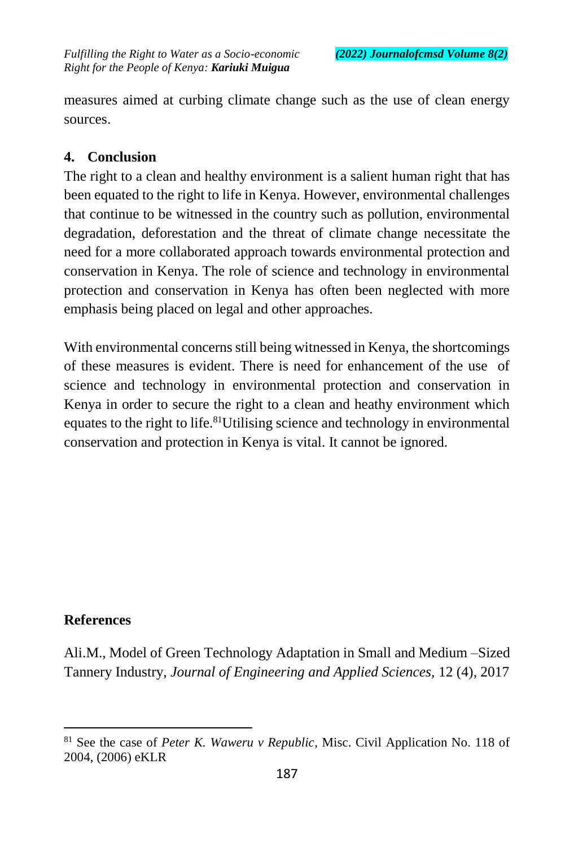measures aimed at curbing climate change such as the use of clean energy sources.

### **4. Conclusion**

The right to a clean and healthy environment is a salient human right that has been equated to the right to life in Kenya. However, environmental challenges that continue to be witnessed in the country such as pollution, environmental degradation, deforestation and the threat of climate change necessitate the need for a more collaborated approach towards environmental protection and conservation in Kenya. The role of science and technology in environmental protection and conservation in Kenya has often been neglected with more emphasis being placed on legal and other approaches.

With environmental concerns still being witnessed in Kenya, the shortcomings of these measures is evident. There is need for enhancement of the use of science and technology in environmental protection and conservation in Kenya in order to secure the right to a clean and heathy environment which equates to the right to life.<sup>81</sup>Utilising science and technology in environmental conservation and protection in Kenya is vital. It cannot be ignored.

### **References**

 $\overline{a}$ 

Ali.M., Model of Green Technology Adaptation in Small and Medium –Sized Tannery Industry, *Journal of Engineering and Applied Sciences,* 12 (4), 2017

<sup>81</sup> See the case of *Peter K. Waweru v Republic*, Misc. Civil Application No. 118 of 2004, (2006) eKLR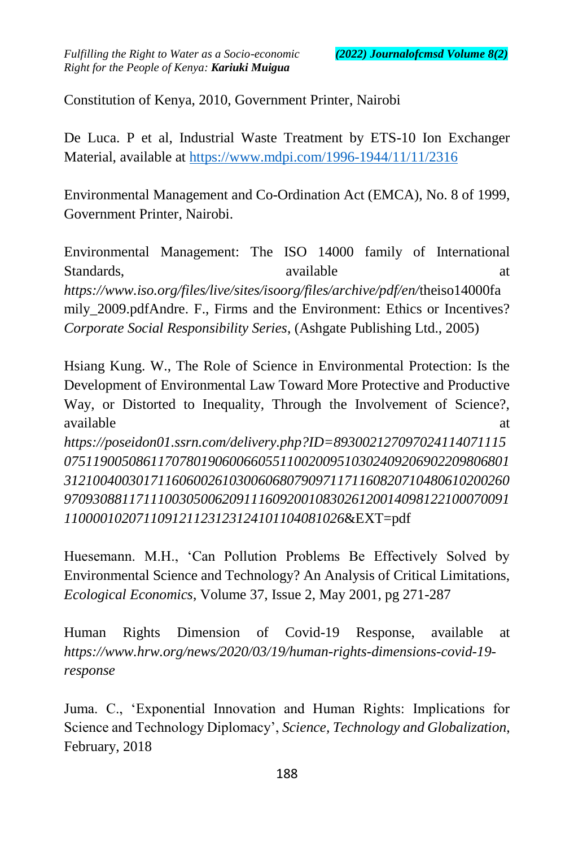Constitution of Kenya, 2010, Government Printer, Nairobi

De Luca. P et al, Industrial Waste Treatment by ETS-10 Ion Exchanger Material, available at<https://www.mdpi.com/1996-1944/11/11/2316>

Environmental Management and Co-Ordination Act (EMCA), No. 8 of 1999, Government Printer, Nairobi.

Environmental Management: The ISO 14000 family of International Standards, available at a standards and at a standard at a standard at a standard at a standard at a standard at a standard at a standard at a standard at a standard at a standard at a standard at a standard at a standard *https://www.iso.org/files/live/sites/isoorg/files/archive/pdf/en/*theiso14000fa mily 2009.pdfAndre. F., Firms and the Environment: Ethics or Incentives? *Corporate Social Responsibility Series*, (Ashgate Publishing Ltd., 2005)

Hsiang Kung. W., The Role of Science in Environmental Protection: Is the Development of Environmental Law Toward More Protective and Productive Way, or Distorted to Inequality, Through the Involvement of Science?, available at the state of the state at the state at the state at  $\alpha$ *https://poseidon01.ssrn.com/delivery.php?ID=893002127097024114071115 07511900508611707801906006605511002009510302409206902209806801 31210040030171160600261030060680790971171160820710480610200260 97093088117111003050062091116092001083026120014098122100070091*

*110000102071109121123123124101104081026*&EXT=pdf

Huesemann. M.H., 'Can Pollution Problems Be Effectively Solved by Environmental Science and Technology? An Analysis of Critical Limitations, *Ecological Economics*, Volume 37, Issue 2, May 2001, pg 271-287

Human Rights Dimension of Covid-19 Response, available at *https://www.hrw.org/news/2020/03/19/human-rights-dimensions-covid-19 response*

Juma. C., 'Exponential Innovation and Human Rights: Implications for Science and Technology Diplomacy', *Science, Technology and Globalization*, February, 2018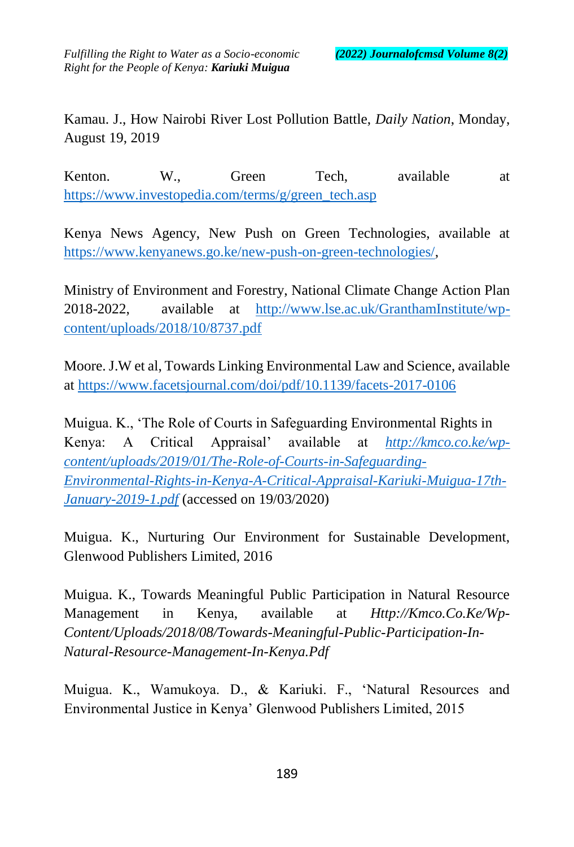Kamau. J., How Nairobi River Lost Pollution Battle, *Daily Nation*, Monday, August 19, 2019

Kenton. W., Green Tech, available at [https://www.investopedia.com/terms/g/green\\_tech.asp](https://www.investopedia.com/terms/g/green_tech.asp)

Kenya News Agency, New Push on Green Technologies, available at [https://www.kenyanews.go.ke/new-push-on-green-technologies/,](https://www.kenyanews.go.ke/new-push-on-green-technologies/)

Ministry of Environment and Forestry, National Climate Change Action Plan 2018-2022, available at [http://www.lse.ac.uk/GranthamInstitute/wp](http://www.lse.ac.uk/GranthamInstitute/wp-content/uploads/2018/10/8737.pdf)[content/uploads/2018/10/8737.pdf](http://www.lse.ac.uk/GranthamInstitute/wp-content/uploads/2018/10/8737.pdf)

Moore. J.W et al, Towards Linking Environmental Law and Science, available at<https://www.facetsjournal.com/doi/pdf/10.1139/facets-2017-0106>

Muigua. K., 'The Role of Courts in Safeguarding Environmental Rights in Kenya: A Critical Appraisal' available at *http://kmco.co.ke/wpcontent/uploads/2019/01/The-Role-of-Courts-in-Safeguarding-Environmental-Rights-in-Kenya-A-Critical-Appraisal-Kariuki-Muigua-17th-January-2019-1.pdf* (accessed on 19/03/2020)

Muigua. K., Nurturing Our Environment for Sustainable Development, Glenwood Publishers Limited, 2016

Muigua. K., Towards Meaningful Public Participation in Natural Resource Management in Kenya, available at *Http://Kmco.Co.Ke/Wp-Content/Uploads/2018/08/Towards-Meaningful-Public-Participation-In-Natural-Resource-Management-In-Kenya.Pdf*

Muigua. K., Wamukoya. D., & Kariuki. F., 'Natural Resources and Environmental Justice in Kenya' Glenwood Publishers Limited, 2015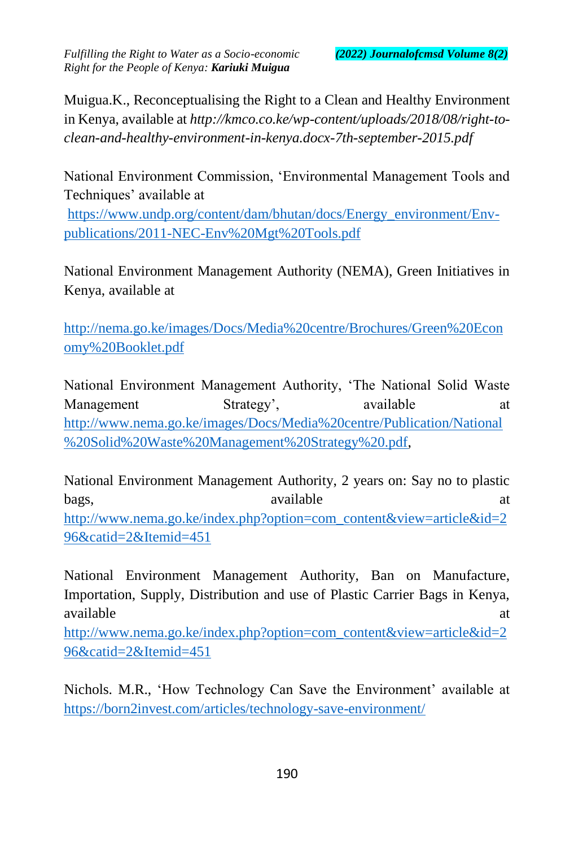Muigua.K., Reconceptualising the Right to a Clean and Healthy Environment in Kenya, available at *http://kmco.co.ke/wp-content/uploads/2018/08/right-toclean-and-healthy-environment-in-kenya.docx-7th-september-2015.pdf*

National Environment Commission, 'Environmental Management Tools and Techniques' available at

https://www.undp.org/content/dam/bhutan/docs/Energy\_environment/Envpublications/2011-NEC-Env%20Mgt%20Tools.pdf

National Environment Management Authority (NEMA), Green Initiatives in Kenya, available at

http://nema.go.ke/images/Docs/Media%20centre/Brochures/Green%20Econ omy%20Booklet.pdf

National Environment Management Authority, 'The National Solid Waste Management Strategy', available at http://www.nema.go.ke/images/Docs/Media%20centre/Publication/National %20Solid%20Waste%20Management%20Strategy%20.pdf,

National Environment Management Authority, 2 years on: Say no to plastic bags, available at a control of the bags, and the actual action of the action of the action of the action of the action of the action of the action of the action of the action of the action of the action of the action of t [http://www.nema.go.ke/index.php?option=com\\_content&view=article&id=2](http://www.nema.go.ke/index.php?option=com_content&view=article&id=296&catid=2&Itemid=451) [96&catid=2&Itemid=451](http://www.nema.go.ke/index.php?option=com_content&view=article&id=296&catid=2&Itemid=451)

National Environment Management Authority, Ban on Manufacture, Importation, Supply, Distribution and use of Plastic Carrier Bags in Kenya, available at a structure of the structure at a structure of the structure at a structure of the structure at a structure of the structure of the structure of the structure of the structure of the structure of the structure

[http://www.nema.go.ke/index.php?option=com\\_content&view=article&id=2](http://www.nema.go.ke/index.php?option=com_content&view=article&id=296&catid=2&Itemid=451) [96&catid=2&Itemid=451](http://www.nema.go.ke/index.php?option=com_content&view=article&id=296&catid=2&Itemid=451)

Nichols. M.R., 'How Technology Can Save the Environment' available at <https://born2invest.com/articles/technology-save-environment/>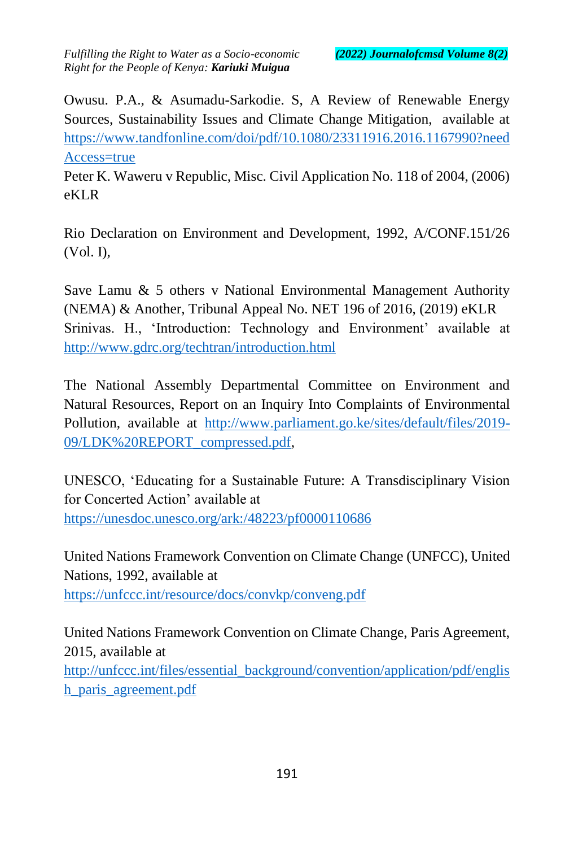Owusu. P.A., & Asumadu-Sarkodie. S, A Review of Renewable Energy Sources, Sustainability Issues and Climate Change Mitigation, available at [https://www.tandfonline.com/doi/pdf/10.1080/23311916.2016.1167990?need](https://www.tandfonline.com/doi/pdf/10.1080/23311916.2016.1167990?needAccess=true) [Access=true](https://www.tandfonline.com/doi/pdf/10.1080/23311916.2016.1167990?needAccess=true)

Peter K. Waweru v Republic, Misc. Civil Application No. 118 of 2004, (2006) eKLR

Rio Declaration on Environment and Development, 1992, A/CONF.151/26 (Vol. I),

Save Lamu & 5 others v National Environmental Management Authority (NEMA) & Another, Tribunal Appeal No. NET 196 of 2016, (2019) eKLR Srinivas. H., 'Introduction: Technology and Environment' available at <http://www.gdrc.org/techtran/introduction.html>

The National Assembly Departmental Committee on Environment and Natural Resources, Report on an Inquiry Into Complaints of Environmental Pollution, available at [http://www.parliament.go.ke/sites/default/files/2019-](http://www.parliament.go.ke/sites/default/files/2019-09/LDK%20REPORT_compressed.pdf) [09/LDK%20REPORT\\_compressed.pdf,](http://www.parliament.go.ke/sites/default/files/2019-09/LDK%20REPORT_compressed.pdf)

UNESCO, 'Educating for a Sustainable Future: A Transdisciplinary Vision for Concerted Action' available at <https://unesdoc.unesco.org/ark:/48223/pf0000110686>

United Nations Framework Convention on Climate Change (UNFCC), United Nations, 1992, available at <https://unfccc.int/resource/docs/convkp/conveng.pdf>

United Nations Framework Convention on Climate Change, Paris Agreement, 2015, available at [http://unfccc.int/files/essential\\_background/convention/application/pdf/englis](http://unfccc.int/files/essential_background/convention/application/pdf/english_paris_agreement.pdf) [h\\_paris\\_agreement.pdf](http://unfccc.int/files/essential_background/convention/application/pdf/english_paris_agreement.pdf)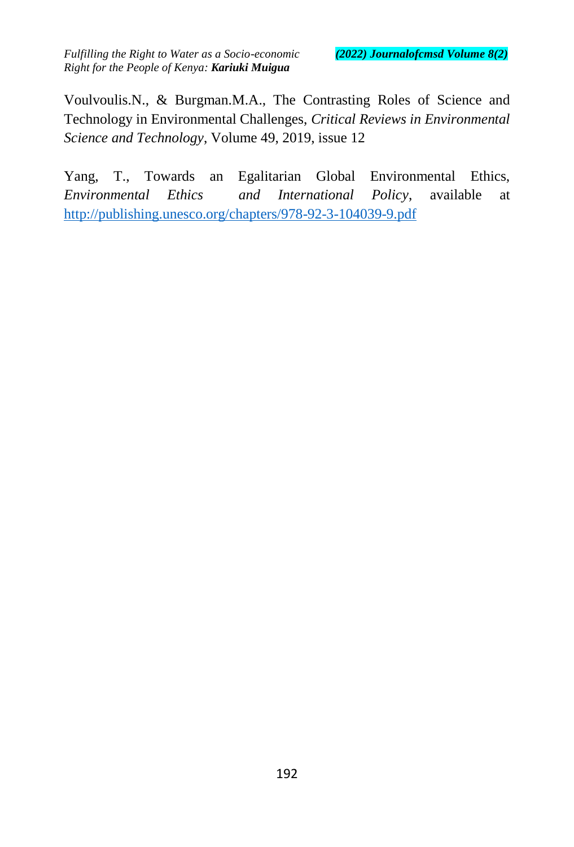Voulvoulis.N., & Burgman.M.A., The Contrasting Roles of Science and Technology in Environmental Challenges, *Critical Reviews in Environmental Science and Technology*, Volume 49, 2019, issue 12

Yang, T., Towards an Egalitarian Global Environmental Ethics, *Environmental Ethics and International Policy*, available at <http://publishing.unesco.org/chapters/978-92-3-104039-9.pdf>